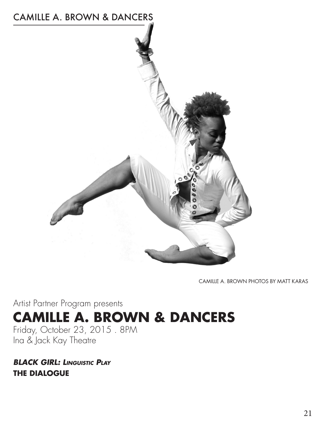

CAMILLE A. BROWN PHOTOS BY MATT KARAS

Artist Partner Program presents **CAMILLE A. BROWN & DANCERS** Friday, October 23, 2015 . 8PM

Ina & Jack Kay Theatre

*BLACK GIRL: Linguistic Play* **THE DIALOGUE**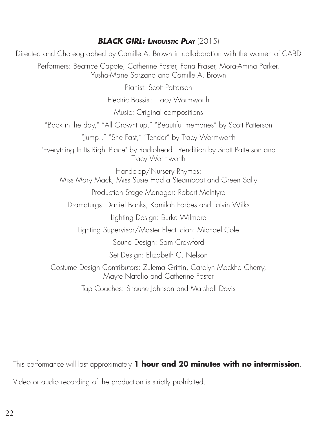#### *BLACK GIRL: Linguistic Play* (2015)

Directed and Choreographed by Camille A. Brown in collaboration with the women of CABD Performers: Beatrice Capote, Catherine Foster, Fana Fraser, Mora-Amina Parker, Yusha-Marie Sorzano and Camille A. Brown Pianist: Scott Patterson Electric Bassist: Tracy Wormworth Music: Original compositions "Back in the day," "All Grownt up," "Beautiful memories" by Scott Patterson "Jump!," "She Fast," "Tender" by Tracy Wormworth "Everything In Its Right Place" by Radiohead - Rendition by Scott Patterson and Tracy Wormworth Handclap/Nursery Rhymes: Miss Mary Mack, Miss Susie Had a Steamboat and Green Sally Production Stage Manager: Robert McIntyre Dramaturgs: Daniel Banks, Kamilah Forbes and Talvin Wilks Lighting Design: Burke Wilmore Lighting Supervisor/Master Electrician: Michael Cole Sound Design: Sam Crawford Set Design: Elizabeth C. Nelson Costume Design Contributors: Zulema Griffin, Carolyn Meckha Cherry, Mayte Natalio and Catherine Foster Tap Coaches: Shaune Johnson and Marshall Davis

This performance will last approximately **1 hour and 20 minutes with no intermission**.

Video or audio recording of the production is strictly prohibited.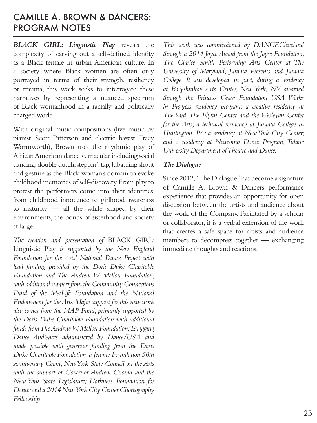#### CAMILLE A. BROWN & DANCERS: PROGRAM NOTES

*BLACK GIRL: Linguistic Play* reveals the complexity of carving out a self-defined identity as a Black female in urban American culture. In a society where Black women are often only portrayed in terms of their strength, resiliency or trauma, this work seeks to interrogate these narratives by representing a nuanced spectrum of Black womanhood in a racially and politically charged world.

With original music compositions (live music by pianist, Scott Patterson and electric bassist, Tracy Wormworth), Brown uses the rhythmic play of African American dance vernacular including social dancing, double dutch, steppin', tap, Juba, ring shout and gesture as the Black woman's domain to evoke childhood memories of self-discovery. From play to protest the performers come into their identities, from childhood innocence to girlhood awareness to maturity — all the while shaped by their environments, the bonds of sisterhood and society at large.

*The creation and presentation of* BLACK GIRL: Linguistic Play *is supported by the New England Foundation for the Arts' National Dance Project with lead funding provided by the Doris Duke Charitable Foundation and The Andrew W. Mellon Foundation, with additional support from the Community Connections*  Fund of the MetLife Foundation and the National *Endowment for the Arts. Major support for this new work also comes from the MAP Fund, primarily supported by the Doris Duke Charitable Foundation with additional funds from The Andrew W. Mellon Foundation; Engaging Dance Audiences administered by Dance/USA and made possible with generous funding from the Doris Duke Charitable Foundation; a Jerome Foundation 50th Anniversary Grant; New York State Council on the Arts with the support of Governor Andrew Cuomo and the New York State Legislature; Harkness Foundation for Dance; and a 2014 New York City Center Choreography Fellowship.* 

*This work was commissioned by DANCECleveland through a 2014 Joyce Award from the Joyce Foundation, The Clarice Smith Performing Arts Center at The University of Maryland, Juniata Presents and Juniata College. It was developed, in part, during a residency at Baryshnikov Arts Center, New York, NY awarded through the Princess Grace Foundation–USA Works in Progress residency program; a creative residency at The Yard, The Flynn Center and the Wesleyan Center for the Arts; a technical residency at Juniata College in Huntington, PA; a residency at New York City Center; and a residency at Newcomb Dance Program, Tulane University Department of Theatre and Dance.*

#### *The Dialogue*

Since 2012, "The Dialogue" has become a signature of Camille A. Brown & Dancers performance experience that provides an opportunity for open discussion between the artists and audience about the work of the Company. Facilitated by a scholar or collaborator, it is a verbal extension of the work that creates a safe space for artists and audience members to decompress together — exchanging immediate thoughts and reactions.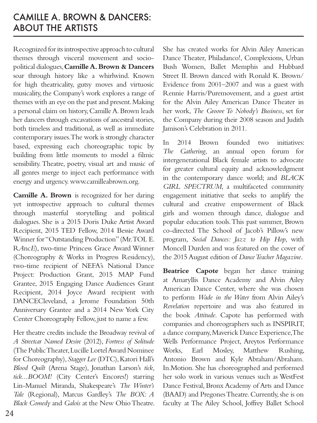## CAMILLE A. BROWN & DANCERS: ABOUT THE ARTISTS

Recognized for its introspective approach to cultural themes through visceral movement and sociopolitical dialogues, **Camille A. Brown & Dancers** soar through history like a whirlwind. Known for high theatricality, gutsy moves and virtuosic musicality, the Company's work explores a range of themes with an eye on the past and present. Making a personal claim on history, Camille A. Brown leads her dancers through excavations of ancestral stories, both timeless and traditional, as well as immediate contemporary issues. The work is strongly character based, expressing each choreographic topic by building from little moments to model a filmic sensibility. Theatre, poetry, visual art and music of all genres merge to inject each performance with energy and urgency. www.camilleabrown.org.

**Camille A. Brown** is recognized for her daring yet introspective approach to cultural themes through masterful storytelling and political dialogues. She is a 2015 Doris Duke Artist Award Recipient, 2015 TED Fellow, 2014 Bessie Award Winner for "Outstanding Production" (Mr. TOL E. R*A*nc*E*), two-time Princess Grace Award Winner (Choreography & Works in Progress Residency), two-time recipient of NEFA's National Dance Project: Production Grant, 2015 MAP Fund Grantee, 2015 Engaging Dance Audiences Grant Recipient, 2014 Joyce Award recipient with DANCECleveland, a Jerome Foundation 50th Anniversary Grantee and a 2014 New York City Center Choreography Fellow, just to name a few.

Her theatre credits include the Broadway revival of *A Streetcar Named Desire* (2012), *Fortress of Solitude*  (The Public Theater, Lucille Lortel Award Nominee for Choreography), *Stagger Lee* (DTC), Katori Hall's *Blood Quilt* (Arena Stage), Jonathan Larson's *tick, tick...BOOM!* (City Center's Encores!) starring Lin-Manuel Miranda, Shakespeare's *The Winter's Tale* (Regional), Marcus Gardley's *The BOX: A Black Comedy* and *Galois* at the New Ohio Theatre.

She has created works for Alvin Ailey American Dance Theater, Philadanco!, Complexions, Urban Bush Women, Ballet Memphis and Hubbard Street II. Brown danced with Ronald K. Brown/ Evidence from 2001–2007 and was a guest with Rennie Harris/Puremovement, and a guest artist for the Alvin Ailey American Dance Theater in her work, *The Groove To Nobody's Business*, set for the Company during their 2008 season and Judith Jamison's Celebration in 2011.

In 2014 Brown founded two initiatives: *The Gathering*, an annual open forum for intergenerational Black female artists to advocate for greater cultural equity and acknowledgment in the contemporary dance world; and *BLACK GIRL SPECTRUM*, a multifaceted community engagement initiative that seeks to amplify the cultural and creative empowerment of Black girls and women through dance, dialogue and popular education tools. This past summer, Brown co-directed The School of Jacob's Pillow's new program, *Social Dances: Jazz to Hip Hop*, with Moncell Durden and was featured on the cover of the 2015 August edition of *Dance Teacher Magazine*.

**Beatrice Capote** began her dance training at Amaryllis Dance Academy and Alvin Ailey American Dance Center, where she was chosen to perform *Wade in the Water* from Alvin Ailey's *Revelation* repertoire and was also featured in the book *Attitude*. Capote has performed with companies and choreographers such as INSPIRIT, a dance company, Maverick Dance Experience, The Wells Performance Project, Areytos Performance Works, Earl Mosley, Matthew Rushing, Antonio Brown and Kyle Abraham/Abraham. In.Motion. She has choreographed and performed her solo work in various venues such as WestFest Dance Festival, Bronx Academy of Arts and Dance (BAAD) and Pregones Theatre. Currently, she is on faculty at The Ailey School, Joffrey Ballet School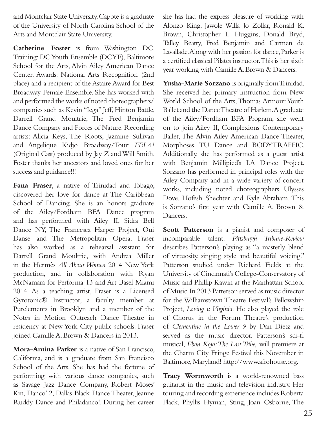and Montclair State University. Capote is a graduate of the University of North Carolina School of the Arts and Montclair State University.

**Catherine Foster** is from Washington DC. Training: DC Youth Ensemble (DCYE), Baltimore School for the Arts, Alvin Ailey American Dance Center. Awards: National Arts Recognition (2nd place) and a recipient of the Astaire Award for Best Broadway Female Ensemble. She has worked with and performed the works of noted choreographers/ companies such as Kevin "Iega" Jeff, Hinton Battle, Darrell Grand Moultrie, The Fred Benjamin Dance Company and Forces of Nature. Recording artists: Alicia Keys, The Roots, Jazmine Sullivan and Angelique Kidjo. Broadway/Tour: *FELA!*  (Original Cast) produced by Jay Z and Will Smith. Foster thanks her ancestors and loved ones for her success and guidance!!!

**Fana Fraser**, a native of Trinidad and Tobago, discovered her love for dance at The Caribbean School of Dancing. She is an honors graduate of the Ailey/Fordham BFA Dance program and has performed with Ailey II, Sidra Bell Dance NY, The Francesca Harper Project, Oui Danse and The Metropolitan Opera. Fraser has also worked as a rehearsal assistant for Darrell Grand Moultrie, with Andrea Miller in the Hermès *All About Women* 2014 New York production, and in collaboration with Ryan McNamara for Performa 13 and Art Basel Miami 2014. As a teaching artist, Fraser is a Licensed Gyrotonic® Instructor, a faculty member at Purelements in Brooklyn and a member of the Notes in Motion Outreach Dance Theatre in residency at New York City public schools. Fraser joined Camille A. Brown & Dancers in 2013.

**Mora-Amina Parker** is a native of San Francisco, California, and is a graduate from San Francisco School of the Arts. She has had the fortune of performing with various dance companies, such as Savage Jazz Dance Company, Robert Moses' Kin, Danco' 2, Dallas Black Dance Theater, Jeanne Ruddy Dance and Philadanco!. During her career

she has had the express pleasure of working with Alonzo King, Jawole Willa Jo Zollar, Ronald K. Brown, Christopher L. Huggins, Donald Bryd, Talley Beatty, Fred Benjamin and Carmen de Lavallade. Along with her passion for dance, Parker is a certified classical Pilates instructor. This is her sixth year working with Camille A. Brown & Dancers.

**Yusha-Marie Sorzano** is originally from Trinidad. She received her primary instruction from New World School of the Arts, Thomas Armour Youth Ballet and the Dance Theatre of Harlem. A graduate of the Ailey/Fordham BFA Program, she went on to join Ailey II, Complexions Contemporary Ballet, The Alvin Ailey American Dance Theater, Morphoses, TU Dance and BODYTRAFFIC. Additionally, she has performed as a guest artist with Benjamin Millipied's LA Dance Project. Sorzano has performed in principal roles with the Ailey Company and in a wide variety of concert works, including noted choreographers Ulysses Dove, Hofesh Shechter and Kyle Abraham. This is Sorzano's first year with Camille A. Brown & Dancers.

**Scott Patterson** is a pianist and composer of incomparable talent. *Pittsburgh Tribune-Review* describes Patterson's playing as "a masterly blend of virtuosity, singing style and beautiful voicing." Patterson studied under Richard Fields at the University of Cincinnati's College-Conservatory of Music and Phillip Kawin at the Manhattan School of Music. In 2013 Patterson served as music director for the Williamstown Theatre Festival's Fellowship Project, *Loving v. Virginia*. He also played the role of Chorus in the Forum Theatre's production of *Clementine in the Lower 9* by Dan Dietz and served as the music director. Patterson's sci-fi musical, *Ebon Kojo: The Last Tribe,* will premiere at the Charm City Fringe Festival this November in Baltimore, Maryland! http://www.afrohouse.org.

**Tracy Wormworth** is a world-renowned bass guitarist in the music and television industry. Her touring and recording experience includes Roberta Flack, Phyllis Hyman, Sting, Joan Osborne, The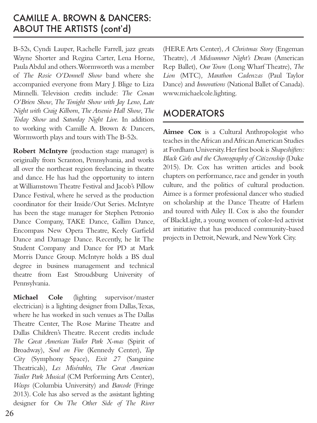### CAMILLE A. BROWN & DANCERS: ABOUT THE ARTISTS (cont'd)

B-52s, Cyndi Lauper, Rachelle Farrell, jazz greats Wayne Shorter and Regina Carter, Lena Horne, Paula Abdul and others. Wormworth was a member of *The Rosie O'Donnell Show* band where she accompanied everyone from Mary J. Blige to Liza Minnelli. Television credits include: *The Conan O'Brien Show*, *The Tonight Show with Jay Leno*, *Late Night with Craig Kilborn*, *The Arsenio Hall Show*, *The Today Show* and *Saturday Night Live.* In addition to working with Camille A. Brown & Dancers, Wormworth plays and tours with The B-52s.

**Robert McIntyre** (production stage manager) is originally from Scranton, Pennsylvania, and works all over the northeast region freelancing in theatre and dance. He has had the opportunity to intern at Williamstown Theatre Festival and Jacob's Pillow Dance Festival, where he served as the production coordinator for their Inside/Out Series. McIntyre has been the stage manager for Stephen Petronio Dance Company, TAKE Dance, Gallim Dance, Encompass New Opera Theatre, Keely Garfield Dance and Damage Dance. Recently, he lit The Student Company and Dance for PD at Mark Morris Dance Group. McIntyre holds a BS dual degree in business management and technical theatre from East Stroudsburg University of Pennsylvania.

**Michael Cole** (lighting supervisor/master electrician) is a lighting designer from Dallas, Texas, where he has worked in such venues as The Dallas Theatre Center, The Rose Marine Theatre and Dallas Children's Theatre. Recent credits include *The Great American Trailer Park X-mas* (Spirit of Broadway), *Soul on Fire* (Kennedy Center), *Tap City* (Symphony Space), *Exit 27* (Sanguine Theatricals)*, Les Misérables, The Great American Trailer Park Musical* (CM Performing Arts Center), *Wasps* (Columbia University) and *Barcode* (Fringe 2013). Cole has also served as the assistant lighting designer for *On The Other Side of The River*

(HERE Arts Center), *A Christmas Story* (Engeman Theatre), *A Midsummer Night's Dream* (American Rep Ballet), *Our Town* (Long Wharf Theatre), *The Lion* (MTC)*, Marathon Cadenzas* (Paul Taylor Dance) and *Innovations* (National Ballet of Canada). www.michaelcole.lighting.

### MODERATORS

**Aimee Cox** is a Cultural Anthropologist who teaches in the African and African American Studies at Fordham University. Her first book is *Shapeshifters: Black Girls and the Choreography of Citizenship* (Duke 2015). Dr. Cox has written articles and book chapters on performance, race and gender in youth culture, and the politics of cultural production. Aimee is a former professional dancer who studied on scholarship at the Dance Theatre of Harlem and toured with Ailey II. Cox is also the founder of BlackLight, a young women of color-led activist art initiative that has produced community-based projects in Detroit, Newark, and New York City.